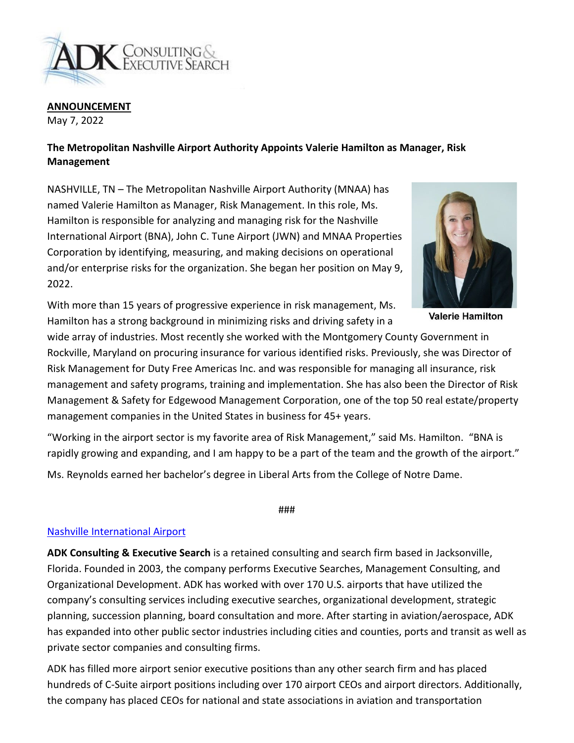

**ANNOUNCEMENT**

May 7, 2022

## **The Metropolitan Nashville Airport Authority Appoints Valerie Hamilton as Manager, Risk Management**

NASHVILLE, TN – The Metropolitan Nashville Airport Authority (MNAA) has named Valerie Hamilton as Manager, Risk Management. In this role, Ms. Hamilton is responsible for analyzing and managing risk for the Nashville International Airport (BNA), John C. Tune Airport (JWN) and MNAA Properties Corporation by identifying, measuring, and making decisions on operational and/or enterprise risks for the organization. She began her position on May 9, 2022.



**Valerie Hamilton** 

With more than 15 years of progressive experience in risk management, Ms. Hamilton has a strong background in minimizing risks and driving safety in a

wide array of industries. Most recently she worked with the Montgomery County Government in Rockville, Maryland on procuring insurance for various identified risks. Previously, she was Director of Risk Management for Duty Free Americas Inc. and was responsible for managing all insurance, risk management and safety programs, training and implementation. She has also been the Director of Risk Management & Safety for Edgewood Management Corporation, one of the top 50 real estate/property management companies in the United States in business for 45+ years.

"Working in the airport sector is my favorite area of Risk Management," said Ms. Hamilton. "BNA is rapidly growing and expanding, and I am happy to be a part of the team and the growth of the airport."

Ms. Reynolds earned her bachelor's degree in Liberal Arts from the College of Notre Dame.

###

## [Nashville International Airport](https://flynashville.com/)

**ADK Consulting & Executive Search** is a retained consulting and search firm based in Jacksonville, Florida. Founded in 2003, the company performs Executive Searches, Management Consulting, and Organizational Development. ADK has worked with over 170 U.S. airports that have utilized the company's consulting services including executive searches, organizational development, strategic planning, succession planning, board consultation and more. After starting in aviation/aerospace, ADK has expanded into other public sector industries including cities and counties, ports and transit as well as private sector companies and consulting firms.

ADK has filled more airport senior executive positions than any other search firm and has placed hundreds of C-Suite airport positions including over 170 airport CEOs and airport directors. Additionally, the company has placed CEOs for national and state associations in aviation and transportation